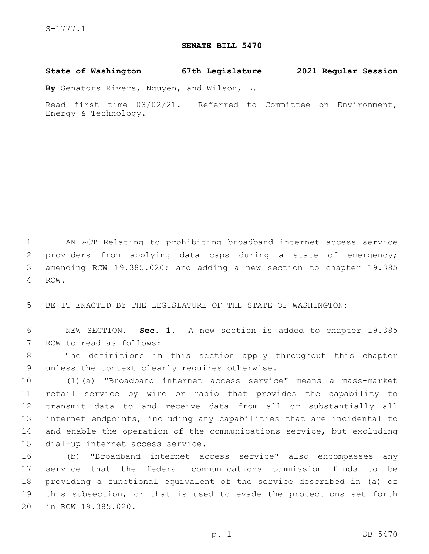## **SENATE BILL 5470**

**State of Washington 67th Legislature 2021 Regular Session**

**By** Senators Rivers, Nguyen, and Wilson, L.

Read first time 03/02/21. Referred to Committee on Environment, Energy & Technology.

 AN ACT Relating to prohibiting broadband internet access service providers from applying data caps during a state of emergency; amending RCW 19.385.020; and adding a new section to chapter 19.385 4 RCW.

5 BE IT ENACTED BY THE LEGISLATURE OF THE STATE OF WASHINGTON:

6 NEW SECTION. **Sec. 1.** A new section is added to chapter 19.385 7 RCW to read as follows:

8 The definitions in this section apply throughout this chapter 9 unless the context clearly requires otherwise.

 (1)(a) "Broadband internet access service" means a mass-market retail service by wire or radio that provides the capability to transmit data to and receive data from all or substantially all internet endpoints, including any capabilities that are incidental to and enable the operation of the communications service, but excluding 15 dial-up internet access service.

 (b) "Broadband internet access service" also encompasses any service that the federal communications commission finds to be providing a functional equivalent of the service described in (a) of this subsection, or that is used to evade the protections set forth 20 in RCW 19.385.020.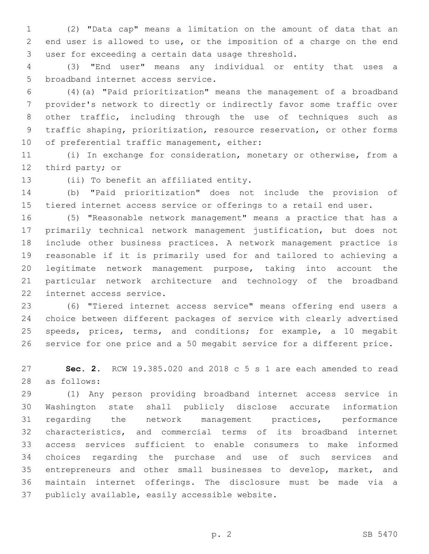(2) "Data cap" means a limitation on the amount of data that an end user is allowed to use, or the imposition of a charge on the end 3 user for exceeding a certain data usage threshold.

 (3) "End user" means any individual or entity that uses a 5 broadband internet access service.

 (4)(a) "Paid prioritization" means the management of a broadband provider's network to directly or indirectly favor some traffic over other traffic, including through the use of techniques such as traffic shaping, prioritization, resource reservation, or other forms 10 of preferential traffic management, either:

 (i) In exchange for consideration, monetary or otherwise, from a 12 third party; or

13 (ii) To benefit an affiliated entity.

 (b) "Paid prioritization" does not include the provision of tiered internet access service or offerings to a retail end user.

 (5) "Reasonable network management" means a practice that has a primarily technical network management justification, but does not include other business practices. A network management practice is reasonable if it is primarily used for and tailored to achieving a legitimate network management purpose, taking into account the particular network architecture and technology of the broadband 22 internet access service.

 (6) "Tiered internet access service" means offering end users a choice between different packages of service with clearly advertised 25 speeds, prices, terms, and conditions; for example, a 10 megabit service for one price and a 50 megabit service for a different price.

 **Sec. 2.** RCW 19.385.020 and 2018 c 5 s 1 are each amended to read as follows:28

 (1) Any person providing broadband internet access service in Washington state shall publicly disclose accurate information regarding the network management practices, performance characteristics, and commercial terms of its broadband internet access services sufficient to enable consumers to make informed choices regarding the purchase and use of such services and 35 entrepreneurs and other small businesses to develop, market, and maintain internet offerings. The disclosure must be made via a 37 publicly available, easily accessible website.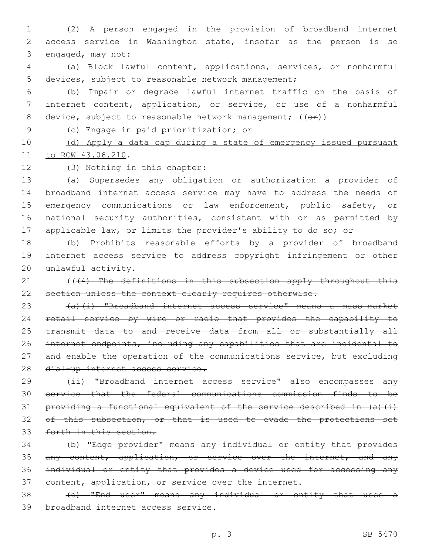1 (2) A person engaged in the provision of broadband internet 2 access service in Washington state, insofar as the person is so 3 engaged, may not:

4 (a) Block lawful content, applications, services, or nonharmful 5 devices, subject to reasonable network management;

6 (b) Impair or degrade lawful internet traffic on the basis of 7 internet content, application, or service, or use of a nonharmful 8 device, subject to reasonable network management;  $((e f))^2$ 

9 (c) Engage in paid prioritization; or

10 (d) Apply a data cap during a state of emergency issued pursuant 11 to RCW 43.06.210.

12 (3) Nothing in this chapter:

 (a) Supersedes any obligation or authorization a provider of broadband internet access service may have to address the needs of 15 emergency communications or law enforcement, public safety, or national security authorities, consistent with or as permitted by applicable law, or limits the provider's ability to do so; or

18 (b) Prohibits reasonable efforts by a provider of broadband 19 internet access service to address copyright infringement or other 20 unlawful activity.

21 ((44) The definitions in this subsection apply throughout this 22 section unless the context clearly requires otherwise.

23 (a)(i) "Broadband internet access service" means a mass-market 24 retail service by wire or radio that provides the capability to 25 transmit data to and receive data from all or substantially all 26 internet endpoints, including any capabilities that are incidental to 27 and enable the operation of the communications service, but excluding 28 dial-up internet access service.

29 (ii) "Broadband internet access service" also encompasses any 30 service that the federal communications commission finds to be 31 providing a functional equivalent of the service described in (a)(i) 32 of this subsection, or that is used to evade the protections set 33 forth in this section.

34 (b) "Edge provider" means any individual or entity that provides 35 any content, application, or service over the internet, and any 36 individual or entity that provides a device used for accessing any 37 content, application, or service over the internet.

38 (c) "End user" means any individual or entity that uses a 39 broadband internet access service.